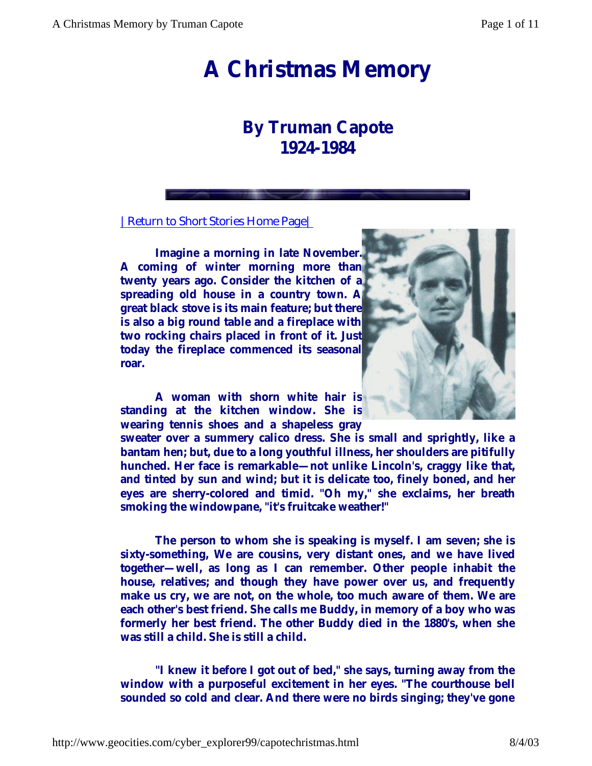# **A Christmas Memory**

# **By Truman Capote 1924-1984**

|Return to Short Stories Home Page|

**Imagine a morning in late November. A coming of winter morning more than twenty years ago. Consider the kitchen of a spreading old house in a country town. A great black stove is its main feature; but there is also a big round table and a fireplace with two rocking chairs placed in front of it. Just today the fireplace commenced its seasonal roar.**



**sweater over a summery calico dress. She is small and sprightly, like a bantam hen; but, due to a long youthful illness, her shoulders are pitifully hunched. Her face is remarkable—not unlike Lincoln's, craggy like that, and tinted by sun and wind; but it is delicate too, finely boned, and her eyes are sherry-colored and timid. "Oh my," she exclaims, her breath smoking the windowpane, "it's fruitcake weather!"**

**The person to whom she is speaking is myself. I am seven; she is sixty-something, We are cousins, very distant ones, and we have lived together—well, as long as I can remember. Other people inhabit the house, relatives; and though they have power over us, and frequently make us cry, we are not, on the whole, too much aware of them. We are each other's best friend. She calls me Buddy, in memory of a boy who was formerly her best friend. The other Buddy died in the 1880's, when she was still a child. She is still a child.**

**"I knew it before I got out of bed," she says, turning away from the window with a purposeful excitement in her eyes. "The courthouse bell sounded so cold and clear. And there were no birds singing; they've gone**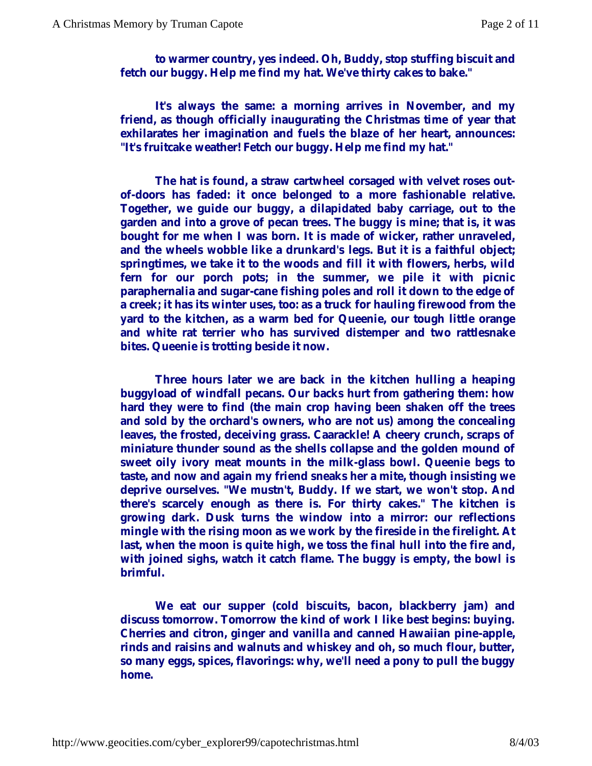**to warmer country, yes indeed. Oh, Buddy, stop stuffing biscuit and fetch our buggy. Help me find my hat. We've thirty cakes to bake."**

**It's always the same: a morning arrives in November, and my friend, as though officially inaugurating the Christmas time of year that exhilarates her imagination and fuels the blaze of her heart, announces: "It's fruitcake weather! Fetch our buggy. Help me find my hat."**

**The hat is found, a straw cartwheel corsaged with velvet roses outof-doors has faded: it once belonged to a more fashionable relative. Together, we guide our buggy, a dilapidated baby carriage, out to the garden and into a grove of pecan trees. The buggy is mine; that is, it was bought for me when I was born. It is made of wicker, rather unraveled, and the wheels wobble like a drunkard's legs. But it is a faithful object; springtimes, we take it to the woods and fill it with flowers, herbs, wild fern for our porch pots; in the summer, we pile it with picnic paraphernalia and sugar-cane fishing poles and roll it down to the edge of a creek; it has its winter uses, too: as a truck for hauling firewood from the yard to the kitchen, as a warm bed for Queenie, our tough little orange and white rat terrier who has survived distemper and two rattlesnake bites. Queenie is trotting beside it now.**

**Three hours later we are back in the kitchen hulling a heaping buggyload of windfall pecans. Our backs hurt from gathering them: how hard they were to find (the main crop having been shaken off the trees and sold by the orchard's owners, who are not us) among the concealing leaves, the frosted, deceiving grass. Caarackle! A cheery crunch, scraps of miniature thunder sound as the shells collapse and the golden mound of sweet oily ivory meat mounts in the milk-glass bowl. Queenie begs to taste, and now and again my friend sneaks her a mite, though insisting we deprive ourselves. "We mustn't, Buddy. If we start, we won't stop. And there's scarcely enough as there is. For thirty cakes." The kitchen is growing dark. Dusk turns the window into a mirror: our reflections mingle with the rising moon as we work by the fireside in the firelight. At last, when the moon is quite high, we toss the final hull into the fire and, with joined sighs, watch it catch flame. The buggy is empty, the bowl is brimful.**

**We eat our supper (cold biscuits, bacon, blackberry jam) and discuss tomorrow. Tomorrow the kind of work I like best begins: buying. Cherries and citron, ginger and vanilla and canned Hawaiian pine-apple, rinds and raisins and walnuts and whiskey and oh, so much flour, butter, so many eggs, spices, flavorings: why, we'll need a pony to pull the buggy home.**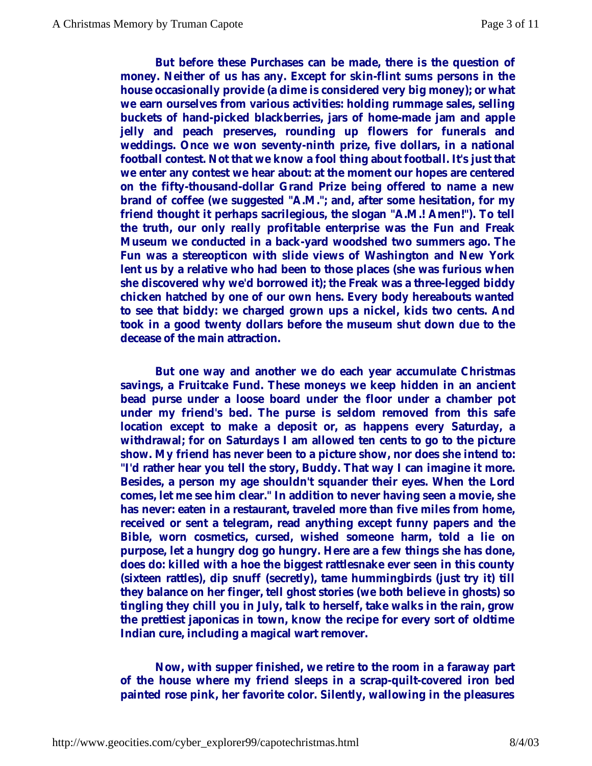**But before these Purchases can be made, there is the question of money. Neither of us has any. Except for skin-flint sums persons in the house occasionally provide (a dime is considered very big money); or what we earn ourselves from various activities: holding rummage sales, selling buckets of hand-picked blackberries, jars of home-made jam and apple jelly and peach preserves, rounding up flowers for funerals and weddings. Once we won seventy-ninth prize, five dollars, in a national football contest. Not that we know a fool thing about football. It's just that we enter any contest we hear about: at the moment our hopes are centered on the fifty-thousand-dollar Grand Prize being offered to name a new brand of coffee (we suggested "A.M."; and, after some hesitation, for my friend thought it perhaps sacrilegious, the slogan "A.M.! Amen!"). To tell the truth, our only** *really* **profitable enterprise was the Fun and Freak Museum we conducted in a back-yard woodshed two summers ago. The Fun was a stereopticon with slide views of Washington and New York lent us by a relative who had been to those places (she was furious when she discovered why we'd borrowed it); the Freak was a three-legged biddy chicken hatched by one of our own hens. Every body hereabouts wanted to see that biddy: we charged grown ups a nickel, kids two cents. And took in a good twenty dollars before the museum shut down due to the decease of the main attraction.**

**But one way and another we do each year accumulate Christmas savings, a Fruitcake Fund. These moneys we keep hidden in an ancient bead purse under a loose board under the floor under a chamber pot under my friend's bed. The purse is seldom removed from this safe location except to make a deposit or, as happens every Saturday, a withdrawal; for on Saturdays I am allowed ten cents to go to the picture show. My friend has never been to a picture show, nor does she intend to: "I'd rather hear you tell the story, Buddy. That way I can imagine it more. Besides, a person my age shouldn't squander their eyes. When the Lord comes, let me see him clear." In addition to never having seen a movie, she has never: eaten in a restaurant, traveled more than five miles from home, received or sent a telegram, read anything except funny papers and the Bible, worn cosmetics, cursed, wished someone harm, told a lie on purpose, let a hungry dog go hungry. Here are a few things she has done, does do: killed with a hoe the biggest rattlesnake ever seen in this county (sixteen rattles), dip snuff (secretly), tame hummingbirds (just try it) till they balance on her finger, tell ghost stories (we both believe in ghosts) so tingling they chill you in July, talk to herself, take walks in the rain, grow the prettiest japonicas in town, know the recipe for every sort of oldtime Indian cure, including a magical wart remover.**

**Now, with supper finished, we retire to the room in a faraway part of the house where my friend sleeps in a scrap-quilt-covered iron bed painted rose pink, her favorite color. Silently, wallowing in the pleasures**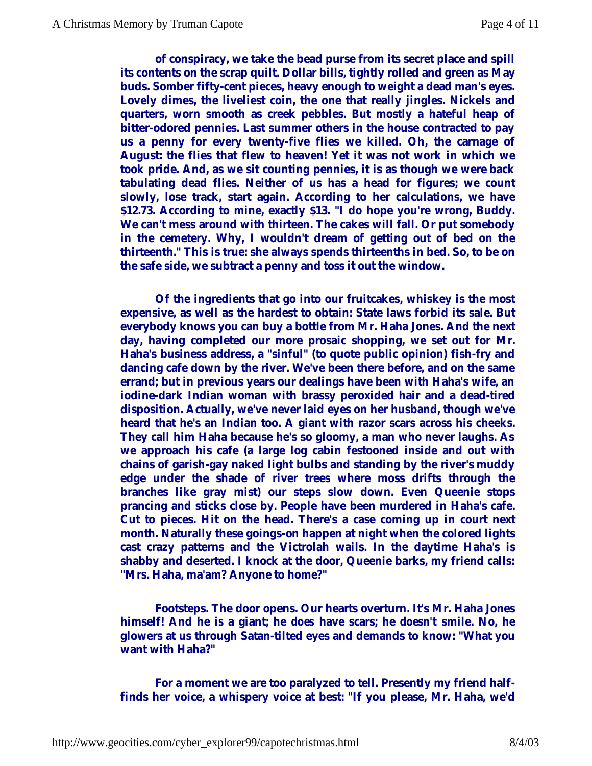**of conspiracy, we take the bead purse from its secret place and spill its contents on the scrap quilt. Dollar bills, tightly rolled and green as May buds. Somber fifty-cent pieces, heavy enough to weight a dead man's eyes. Lovely dimes, the liveliest coin, the one that really jingles. Nickels and quarters, worn smooth as creek pebbles. But mostly a hateful heap of bitter-odored pennies. Last summer others in the house contracted to pay us a penny for every twenty-five flies we killed. Oh, the carnage of August: the flies that flew to heaven! Yet it was not work in which we took pride. And, as we sit counting pennies, it is as though we were back tabulating dead flies. Neither of us has a head for figures; we count slowly, lose track, start again. According to her calculations, we have \$12.73. According to mine, exactly \$13. "I do hope you're wrong, Buddy. We can't mess around with thirteen. The cakes will fall. Or put somebody in the cemetery. Why, I wouldn't dream of getting out of bed on the thirteenth." This is true: she always spends thirteenths in bed. So, to be on the safe side, we subtract a penny and toss it out the window.**

**Of the ingredients that go into our fruitcakes, whiskey is the most expensive, as well as the hardest to obtain: State laws forbid its sale. But everybody knows you can buy a bottle from Mr. Haha Jones. And the next day, having completed our more prosaic shopping, we set out for Mr. Haha's business address, a "sinful" (to quote public opinion) fish-fry and dancing cafe down by the river. We've been there before, and on the same errand; but in previous years our dealings have been with Haha's wife, an iodine-dark Indian woman with brassy peroxided hair and a dead-tired disposition. Actually, we've never laid eyes on her husband, though we've heard that he's an Indian too. A giant with razor scars across his cheeks. They call him Haha because he's so gloomy, a man who never laughs. As we approach his cafe (a large log cabin festooned inside and out with chains of garish-gay naked light bulbs and standing by the river's muddy edge under the shade of river trees where moss drifts through the branches like gray mist) our steps slow down. Even Queenie stops prancing and sticks close by. People have been murdered in Haha's cafe. Cut to pieces. Hit on the head. There's a case coming up in court next month. Naturally these goings-on happen at night when the colored lights cast crazy patterns and the Victrolah wails. In the daytime Haha's is shabby and deserted. I knock at the door, Queenie barks, my friend calls: "Mrs. Haha, ma'am? Anyone to home?"**

**Footsteps. The door opens. Our hearts overturn. It's Mr. Haha Jones himself! And he** *is* **a giant; he** *does* **have scars; he** *doesn't* **smile. No, he glowers at us through Satan-tilted eyes and demands to know: "What you want with Haha?"**

**For a moment we are too paralyzed to tell. Presently my friend halffinds her voice, a whispery voice at best: "If you please, Mr. Haha, we'd**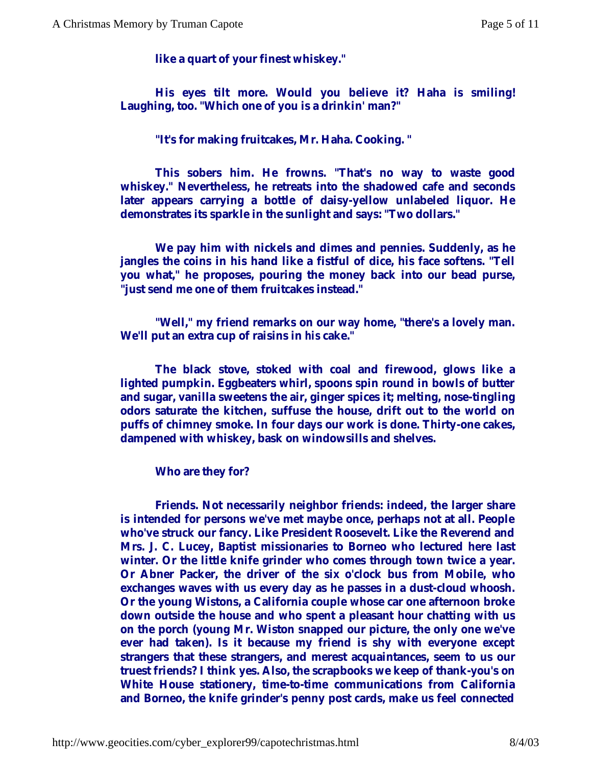**like a quart of your finest whiskey."**

**His eyes tilt more. Would you believe it? Haha is smiling! Laughing, too. "Which one of you is a drinkin' man?"**

### **"It's for making fruitcakes, Mr. Haha. Cooking. "**

**This sobers him. He frowns. "That's no way to waste good whiskey." Nevertheless, he retreats into the shadowed cafe and seconds later appears carrying a bottle of daisy-yellow unlabeled liquor. He demonstrates its sparkle in the sunlight and says: "Two dollars."**

**We pay him with nickels and dimes and pennies. Suddenly, as he jangles the coins in his hand like a fistful of dice, his face softens. "Tell you what," he proposes, pouring the money back into our bead purse, "just send me one of them fruitcakes instead."**

**"Well," my friend remarks on our way home, "there's a lovely man. We'll put an extra cup of raisins in** *his* **cake."**

**The black stove, stoked with coal and firewood, glows like a lighted pumpkin. Eggbeaters whirl, spoons spin round in bowls of butter and sugar, vanilla sweetens the air, ginger spices it; melting, nose-tingling odors saturate the kitchen, suffuse the house, drift out to the world on puffs of chimney smoke. In four days our work is done. Thirty-one cakes, dampened with whiskey, bask on windowsills and shelves.**

**Who are they for?**

**Friends. Not necessarily neighbor friends: indeed, the larger share is intended for persons we've met maybe once, perhaps not at all. People who've struck our fancy. Like President Roosevelt. Like the Reverend and Mrs. J. C. Lucey, Baptist missionaries to Borneo who lectured here last winter. Or the little knife grinder who comes through town twice a year. Or Abner Packer, the driver of the six o'clock bus from Mobile, who exchanges waves with us every day as he passes in a dust-cloud whoosh. Or the young Wistons, a California couple whose car one afternoon broke down outside the house and who spent a pleasant hour chatting with us on the porch (young Mr. Wiston snapped our picture, the only one we've ever had taken). Is it because my friend is shy with everyone** *except* **strangers that these strangers, and merest acquaintances, seem to us our truest friends? I think yes. Also, the scrapbooks we keep of thank-you's on White House stationery, time-to-time communications from California and Borneo, the knife grinder's penny post cards, make us feel connected**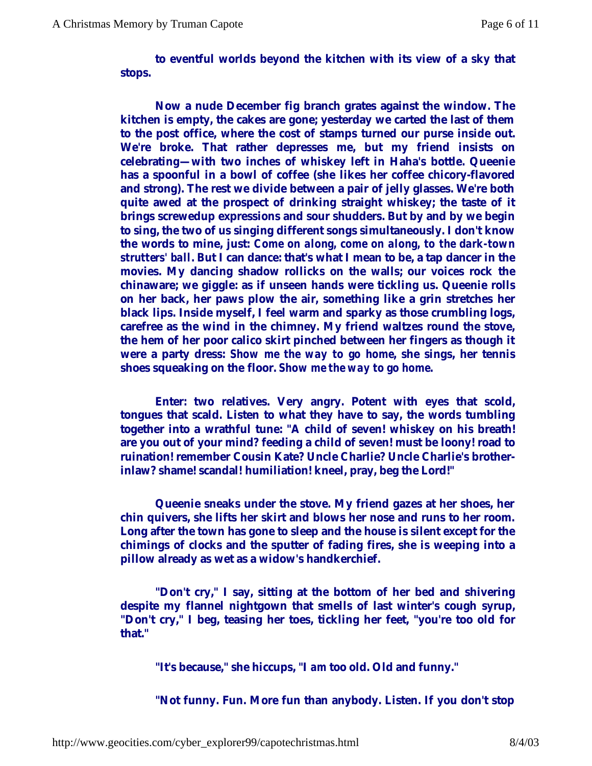**to eventful worlds beyond the kitchen with its view of a sky that stops.**

**Now a nude December fig branch grates against the window. The kitchen is empty, the cakes are gone; yesterday we carted the last of them to the post office, where the cost of stamps turned our purse inside out. We're broke. That rather depresses me, but my friend insists on celebrating—with two inches of whiskey left in Haha's bottle. Queenie has a spoonful in a bowl of coffee (she likes her coffee chicory-flavored and strong). The rest we divide between a pair of jelly glasses. We're both quite awed at the prospect of drinking straight whiskey; the taste of it brings screwedup expressions and sour shudders. But by and by we begin to sing, the two of us singing different songs simultaneously. I don't know the words to mine, just:** *Come on along, come on along, to the dark-town strutters' ball***. But I can dance: that's what I mean to be, a tap dancer in the movies. My dancing shadow rollicks on the walls; our voices rock the chinaware; we giggle: as if unseen hands were tickling us. Queenie rolls on her back, her paws plow the air, something like a grin stretches her black lips. Inside myself, I feel warm and sparky as those crumbling logs, carefree as the wind in the chimney. My friend waltzes round the stove, the hem of her poor calico skirt pinched between her fingers as though it were a party dress:** *Show me the way to go home***, she sings, her tennis shoes squeaking on the floor.** *Show me the way to go home***.**

**Enter: two relatives. Very angry. Potent with eyes that scold, tongues that scald. Listen to what they have to say, the words tumbling together into a wrathful tune: "A child of seven! whiskey on his breath! are you out of your mind? feeding a child of seven! must be loony! road to ruination! remember Cousin Kate? Uncle Charlie? Uncle Charlie's brotherinlaw? shame! scandal! humiliation! kneel, pray, beg the Lord!"**

**Queenie sneaks under the stove. My friend gazes at her shoes, her chin quivers, she lifts her skirt and blows her nose and runs to her room. Long after the town has gone to sleep and the house is silent except for the chimings of clocks and the sputter of fading fires, she is weeping into a pillow already as wet as a widow's handkerchief.**

**"Don't cry," I say, sitting at the bottom of her bed and shivering despite my flannel nightgown that smells of last winter's cough syrup, "Don't cry," I beg, teasing her toes, tickling her feet, "you're too old for that."**

**"It's because," she hiccups, "I** *am* **too old. Old and funny."**

**"Not funny. Fun. More fun than anybody. Listen. If you don't stop**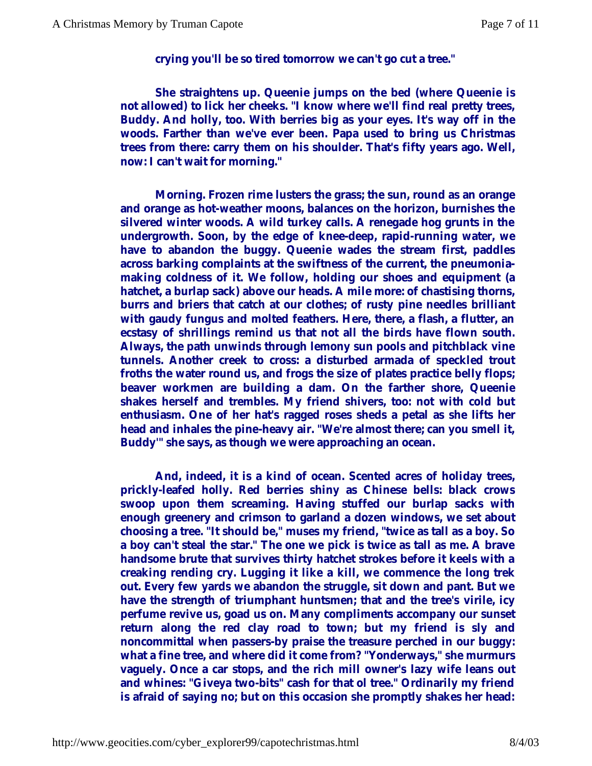#### **crying you'll be so tired tomorrow we can't go cut a tree."**

**She straightens up. Queenie jumps on the bed (where Queenie is not allowed) to lick her cheeks. "I know where we'll find real pretty trees, Buddy. And holly, too. With berries big as your eyes. It's way off in the woods. Farther than we've ever been. Papa used to bring us Christmas trees from there: carry them on his shoulder. That's fifty years ago. Well, now: I can't wait for morning."** 

**Morning. Frozen rime lusters the grass; the sun, round as an orange and orange as hot-weather moons, balances on the horizon, burnishes the silvered winter woods. A wild turkey calls. A renegade hog grunts in the undergrowth. Soon, by the edge of knee-deep, rapid-running water, we have to abandon the buggy. Queenie wades the stream first, paddles across barking complaints at the swiftness of the current, the pneumoniamaking coldness of it. We follow, holding our shoes and equipment (a hatchet, a burlap sack) above our heads. A mile more: of chastising thorns, burrs and briers that catch at our clothes; of rusty pine needles brilliant with gaudy fungus and molted feathers. Here, there, a flash, a flutter, an ecstasy of shrillings remind us that not all the birds have flown south. Always, the path unwinds through lemony sun pools and pitchblack vine tunnels. Another creek to cross: a disturbed armada of speckled trout froths the water round us, and frogs the size of plates practice belly flops; beaver workmen are building a dam. On the farther shore, Queenie shakes herself and trembles. My friend shivers, too: not with cold but enthusiasm. One of her hat's ragged roses sheds a petal as she lifts her head and inhales the pine-heavy air. "We're almost there; can you smell it, Buddy'" she says, as though we were approaching an ocean.**

**And, indeed, it is a kind of ocean. Scented acres of holiday trees, prickly-leafed holly. Red berries shiny as Chinese bells: black crows swoop upon them screaming. Having stuffed our burlap sacks with enough greenery and crimson to garland a dozen windows, we set about choosing a tree. "It should be," muses my friend, "twice as tall as a boy. So a boy can't steal the star." The one we pick is twice as tall as me. A brave handsome brute that survives thirty hatchet strokes before it keels with a creaking rending cry. Lugging it like a kill, we commence the long trek out. Every few yards we abandon the struggle, sit down and pant. But we have the strength of triumphant huntsmen; that and the tree's virile, icy perfume revive us, goad us on. Many compliments accompany our sunset return along the red clay road to town; but my friend is sly and noncommittal when passers-by praise the treasure perched in our buggy: what a fine tree, and where did it come from? "Yonderways," she murmurs vaguely. Once a car stops, and the rich mill owner's lazy wife leans out and whines: "Giveya two-bits" cash for that ol tree." Ordinarily my friend is afraid of saying no; but on this occasion she promptly shakes her head:**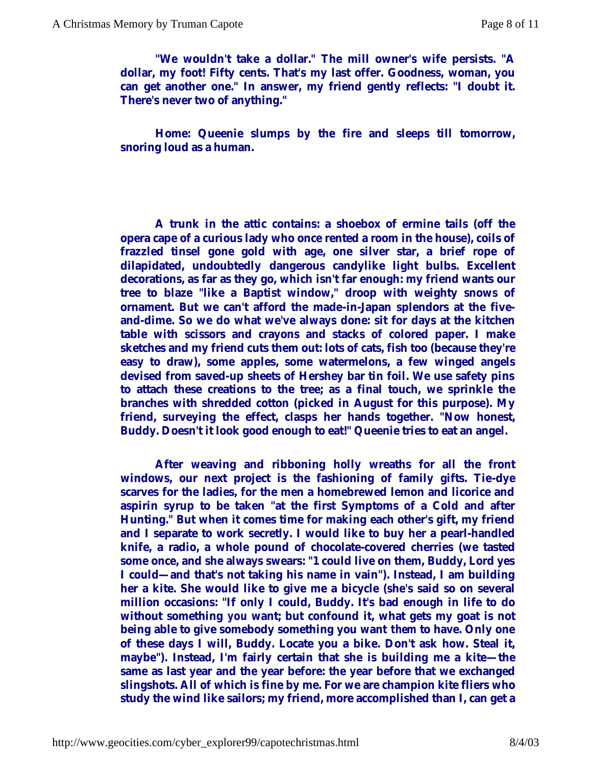**"We wouldn't take a dollar." The mill owner's wife persists. "A dollar, my foot! Fifty cents. That's my last offer. Goodness, woman, you can get another one." In answer, my friend gently reflects: "I doubt it. There's never two of anything."**

**Home: Queenie slumps by the fire and sleeps till tomorrow, snoring loud as a human.**

**A trunk in the attic contains: a shoebox of ermine tails (off the opera cape of a curious lady who once rented a room in the house), coils of frazzled tinsel gone gold with age, one silver star, a brief rope of dilapidated, undoubtedly dangerous candylike light bulbs. Excellent decorations, as far as they go, which isn't far enough: my friend wants our tree to blaze "like a Baptist window," droop with weighty snows of ornament. But we can't afford the made-in-Japan splendors at the fiveand-dime. So we do what we've always done: sit for days at the kitchen table with scissors and crayons and stacks of colored paper. I make sketches and my friend cuts them out: lots of cats, fish too (because they're easy to draw), some apples, some watermelons, a few winged angels devised from saved-up sheets of Hershey bar tin foil. We use safety pins to attach these creations to the tree; as a final touch, we sprinkle the branches with shredded cotton (picked in August for this purpose). My friend, surveying the effect, clasps her hands together. "Now honest, Buddy. Doesn't it look good enough to eat!" Queenie tries to eat an angel.**

**After weaving and ribboning holly wreaths for all the front windows, our next project is the fashioning of family gifts. Tie-dye scarves for the ladies, for the men a homebrewed lemon and licorice and aspirin syrup to be taken "at the first Symptoms of a Cold and after Hunting." But when it comes time for making each other's gift, my friend and I separate to work secretly. I would like to buy her a pearl-handled knife, a radio, a whole pound of chocolate-covered cherries (we tasted some once, and she always swears: "1 could live on them, Buddy, Lord yes I could—and that's not taking his name in vain"). Instead, I am building her a kite. She would like to give me a bicycle (she's said so on several million occasions: "If only I could, Buddy. It's bad enough in life to do without something** *you* **want; but confound it, what gets my goat is not being able to give somebody something you want** *them* **to have. Only one of these days I will, Buddy. Locate you a bike. Don't ask how. Steal it, maybe"). Instead, I'm fairly certain that she is building me a kite—the same as last year and the year before: the year before that we exchanged slingshots. All of which is fine by me. For we are champion kite fliers who study the wind like sailors; my friend, more accomplished than I, can get a**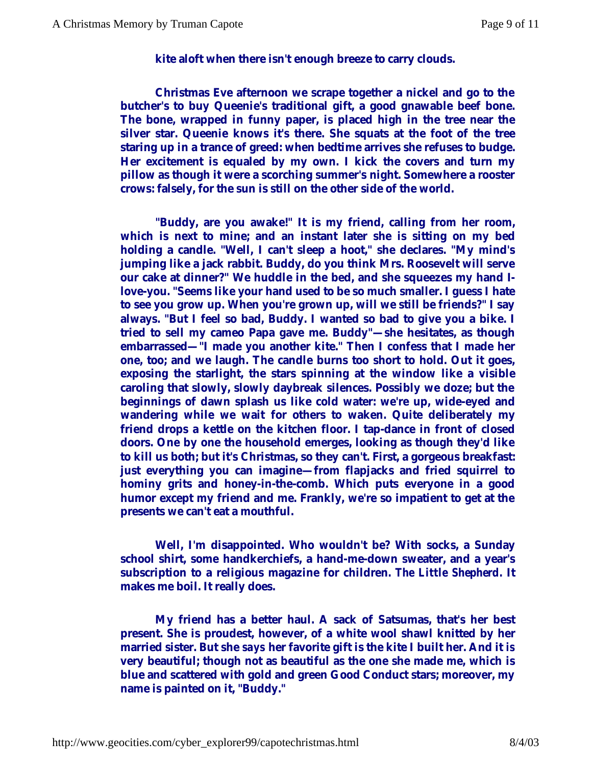#### **kite aloft when there isn't enough breeze to carry clouds.**

**Christmas Eve afternoon we scrape together a nickel and go to the butcher's to buy Queenie's traditional gift, a good gnawable beef bone. The bone, wrapped in funny paper, is placed high in the tree near the silver star. Queenie knows it's there. She squats at the foot of the tree staring up in a trance of greed: when bedtime arrives she refuses to budge. Her excitement is equaled by my own. I kick the covers and turn my pillow as though it were a scorching summer's night. Somewhere a rooster crows: falsely, for the sun is still on the other side of the world.**

**"Buddy, are you awake!" It is my friend, calling from her room, which is next to mine; and an instant later she is sitting on my bed holding a candle. "Well, I can't sleep a hoot," she declares. "My mind's jumping like a jack rabbit. Buddy, do you think Mrs. Roosevelt will serve our cake at dinner?" We huddle in the bed, and she squeezes my hand Ilove-you. "Seems like your hand used to be so much smaller. I guess I hate to see you grow up. When you're grown up, will we still be friends?" I say always. "But I feel so bad, Buddy. I wanted so bad to give you a bike. I tried to sell my cameo Papa gave me. Buddy"—she hesitates, as though embarrassed—"I made you another kite." Then I confess that I made her one, too; and we laugh. The candle burns too short to hold. Out it goes, exposing the starlight, the stars spinning at the window like a visible caroling that slowly, slowly daybreak silences. Possibly we doze; but the beginnings of dawn splash us like cold water: we're up, wide-eyed and wandering while we wait for others to waken. Quite deliberately my friend drops a kettle on the kitchen floor. I tap-dance in front of closed doors. One by one the household emerges, looking as though they'd like to kill us both; but it's Christmas, so they can't. First, a gorgeous breakfast: just everything you can imagine—from flapjacks and fried squirrel to hominy grits and honey-in-the-comb. Which puts everyone in a good humor except my friend and me. Frankly, we're so impatient to get at the presents we can't eat a mouthful.**

**Well, I'm disappointed. Who wouldn't be? With socks, a Sunday school shirt, some handkerchiefs, a hand-me-down sweater, and a year's subscription to a religious magazine for children.** *The Little Shepherd***. It makes me boil. It really does.**

**My friend has a better haul. A sack of Satsumas, that's her best present. She is proudest, however, of a white wool shawl knitted by her married sister. But she** *says* **her favorite gift is the kite I built her. And it** *is* **very beautiful; though not as beautiful as the one she made me, which is blue and scattered with gold and green Good Conduct stars; moreover, my name is painted on it, "Buddy."**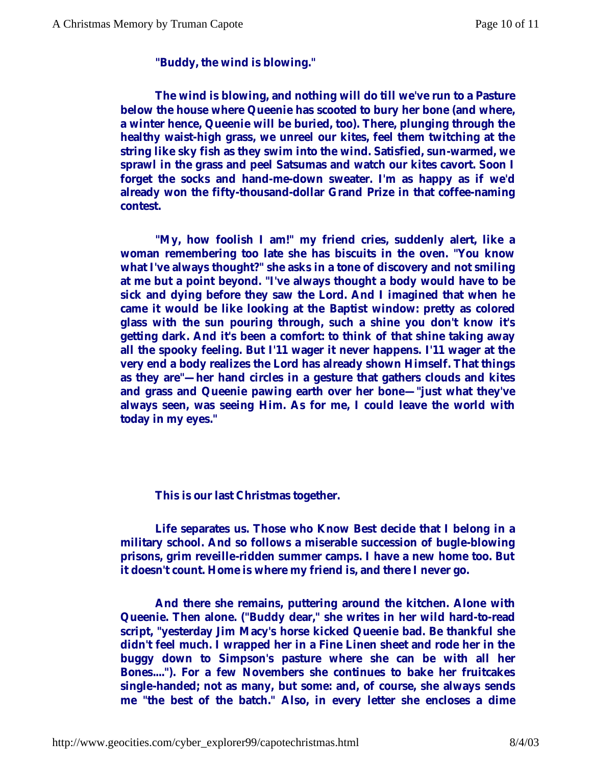## **"Buddy, the wind is blowing."**

**The wind is blowing, and nothing will do till we've run to a Pasture below the house where Queenie has scooted to bury her bone (and where, a winter hence, Queenie will be buried, too). There, plunging through the healthy waist-high grass, we unreel our kites, feel them twitching at the string like sky fish as they swim into the wind. Satisfied, sun-warmed, we sprawl in the grass and peel Satsumas and watch our kites cavort. Soon I forget the socks and hand-me-down sweater. I'm as happy as if we'd already won the fifty-thousand-dollar Grand Prize in that coffee-naming contest.**

**"My, how foolish I am!" my friend cries, suddenly alert, like a woman remembering too late she has biscuits in the oven. "You know what I've always thought?" she asks in a tone of discovery and not smiling at me but a point beyond. "I've always thought a body would have to be sick and dying before they saw the Lord. And I imagined that when he came it would be like looking at the Baptist window: pretty as colored glass with the sun pouring through, such a shine you don't know it's getting dark. And it's been a comfort: to think of that shine taking away all the spooky feeling. But I'11 wager it never happens. I'11 wager at the very end a body realizes the Lord has already shown Himself. That things as they are"—her hand circles in a gesture that gathers clouds and kites and grass and Queenie pawing earth over her bone—"just what they've always seen, was seeing Him. As for me, I could leave the world with today in my eyes."**

#### **This is our last Christmas together.**

**Life separates us. Those who Know Best decide that I belong in a military school. And so follows a miserable succession of bugle-blowing prisons, grim reveille-ridden summer camps. I have a new home too. But it doesn't count. Home is where my friend is, and there I never go.**

**And there she remains, puttering around the kitchen. Alone with Queenie. Then alone. ("Buddy dear," she writes in her wild hard-to-read script, "yesterday Jim Macy's horse kicked Queenie bad. Be thankful she didn't feel much. I wrapped her in a Fine Linen sheet and rode her in the buggy down to Simpson's pasture where she can be with all her Bones...."). For a few Novembers she continues to bake her fruitcakes single-handed; not as many, but some: and, of course, she always sends me "the best of the batch." Also, in every letter she encloses a dime**